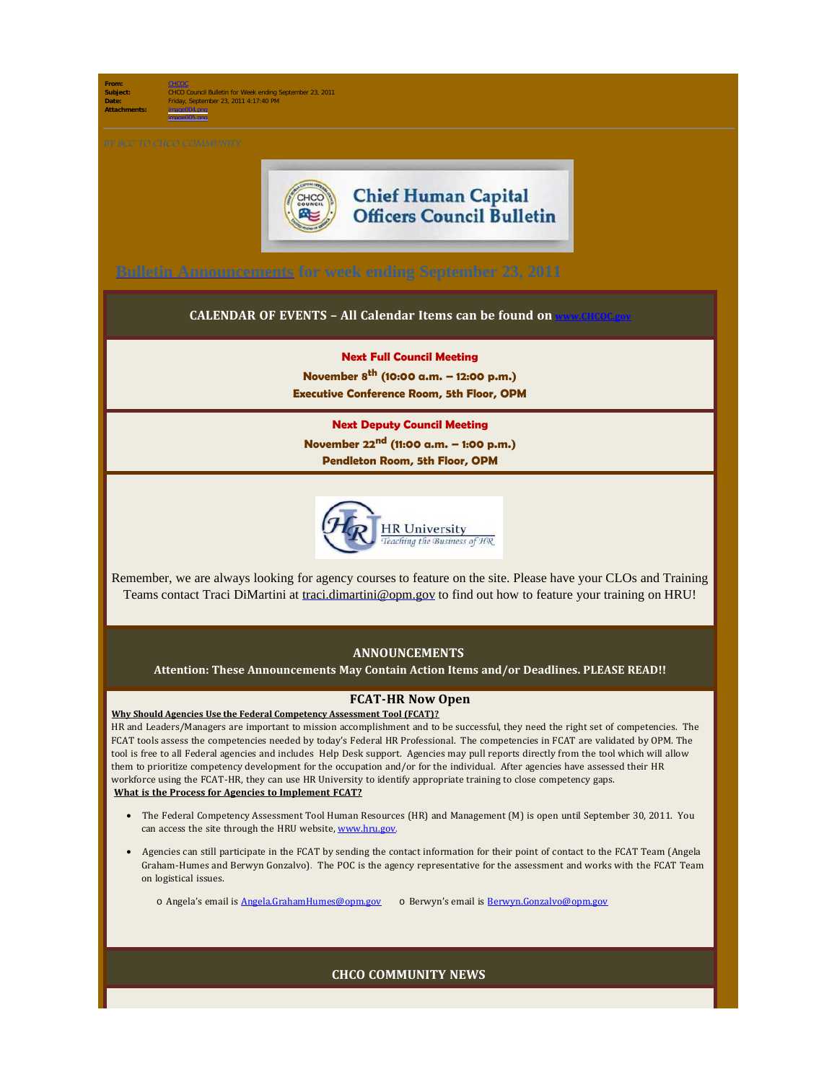**From:** [CHCOC](mailto:/O=OPM/OU=EXCHANGE ADMINISTRATIVE GROUP (FYDIBOHF23SPDLT)/CN=RECIPIENTS/CN=CHCOC) **Subject:** CHCO Council Bulletin for Week ending September 23, 2011 **Date:** Friday, September 23, 2011 4:17:40 PM **Attachments:** image004.png

image005.png



# **Chief Human Capital Officers Council Bulletin**

**[Bulletin Announcements](http://chcoc.gov/Transmittals/Index.aspx) for week ending September 23, 2011** 

### **CALENDAR OF EVENTS - All Calendar Items can be found on**

#### **Next Full Council Meeting**

**November 8th (10:00 a.m. – 12:00 p.m.) Executive Conference Room, 5th Floor, OPM**

#### **Next Deputy Council Meeting**

**November 22nd (11:00 a.m. – 1:00 p.m.) Pendleton Room, 5th Floor, OPM**



Remember, we are always looking for agency courses to feature on the site. Please have your CLOs and Training Teams contact Traci DiMartini at [traci.dimartini@opm.gov](mailto:traci.dimartini@opm.gov) to find out how to feature your training on HRU!

## **ANNOUNCEMENTS**

**Attention: These Announcements May Contain Action Items and/or Deadlines. PLEASE READ!!**

## **FCAT-HR Now Open**

**Why Should Agencies Use the Federal Competency Assessment Tool (FCAT)?**  HR and Leaders/Managers are important to mission accomplishment and to be successful, they need the right set of competencies. The FCAT tools assess the competencies needed by today's Federal HR Professional. The competencies in FCAT are validated by OPM. The tool is free to all Federal agencies and includes Help Desk support. Agencies may pull reports directly from the tool which will allow them to prioritize competency development for the occupation and/or for the individual. After agencies have assessed their HR workforce using the FCAT-HR, they can use HR University to identify appropriate training to close competency gaps. **What is the Process for Agencies to Implement FCAT?**

- · The Federal Competency Assessment Tool Human Resources (HR) and Management (M) is open until September 30, 2011. You can access the site through the HRU website, [www.hru.gov](http://www.hru.gov/).
- · Agencies can still participate in the FCAT by sending the contact information for their point of contact to the FCAT Team (Angela Graham-Humes and Berwyn Gonzalvo). The POC is the agency representative for the assessment and works with the FCAT Team on logistical issues.

o Angela's email is [Angela.GrahamHumes@opm.gov](mailto:Angela.GrahamHumes@opm.gov)  o Berwyn's email is [Berwyn.Gonzalvo@opm.gov](mailto:Berwyn.Gonzalvo@opm.gov)

**CHCO COMMUNITY NEWS**